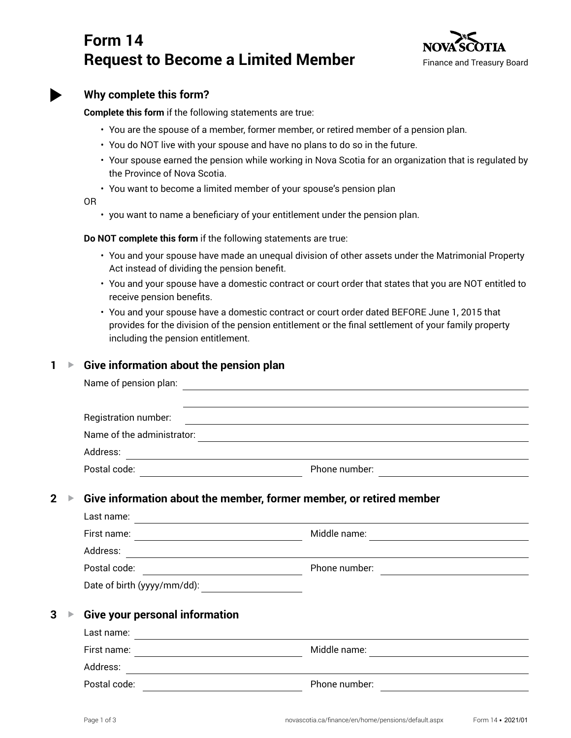# **Form 14 Request to Become a Limited Member**



| I<br>ï<br>I<br>٦<br>I |
|-----------------------|

## **Why complete this form?**

**Complete this form** if the following statements are true:

- You are the spouse of a member, former member, or retired member of a pension plan.
- You do NOT live with your spouse and have no plans to do so in the future.
- Your spouse earned the pension while working in Nova Scotia for an organization that is regulated by the Province of Nova Scotia.
- You want to become a limited member of your spouse's pension plan

OR

• you want to name a beneficiary of your entitlement under the pension plan.

**Do NOT complete this form** if the following statements are true:

- You and your spouse have made an unequal division of other assets under the Matrimonial Property Act instead of dividing the pension benefit.
- You and your spouse have a domestic contract or court order that states that you are NOT entitled to receive pension benefits.
- You and your spouse have a domestic contract or court order dated BEFORE June 1, 2015 that provides for the division of the pension entitlement or the final settlement of your family property including the pension entitlement.

#### **1 ▶ Give information about the pension plan**

|                |  | Name of pension plan:                                                                    |                                                                                                                                                                                                                                                                                                                   |  |
|----------------|--|------------------------------------------------------------------------------------------|-------------------------------------------------------------------------------------------------------------------------------------------------------------------------------------------------------------------------------------------------------------------------------------------------------------------|--|
|                |  | Registration number:                                                                     | ,我们也不会有什么。""我们的人,我们也不会有什么?""我们的人,我们也不会有什么?""我们的人,我们也不会有什么?""我们的人,我们也不会有什么?""我们的人<br>the control of the control of the control of the control of the control of the control of the control of the control of the control of the control of the control of the control of the control of the control of the control |  |
|                |  | Name of the administrator:<br><u> 1989 - Johann Barn, amerikansk politiker (d. 1989)</u> |                                                                                                                                                                                                                                                                                                                   |  |
|                |  | Address:                                                                                 |                                                                                                                                                                                                                                                                                                                   |  |
|                |  |                                                                                          | Phone number:<br>The manufacturer of the state of the state of the state of the state of the state of the state of the state of the state of the state of the state of the state of the state of the state of the state of the s                                                                                  |  |
| $\overline{2}$ |  | Give information about the member, former member, or retired member                      |                                                                                                                                                                                                                                                                                                                   |  |
|                |  | Last name:<br><u> 1989 - Johann Stoff, amerikansk politiker (d. 1989)</u>                |                                                                                                                                                                                                                                                                                                                   |  |
|                |  | First name:                                                                              | Middle name:<br><u> 1980 - Andrea Station, amerikansk politik (d. 1980)</u>                                                                                                                                                                                                                                       |  |
|                |  | Address:                                                                                 |                                                                                                                                                                                                                                                                                                                   |  |
|                |  |                                                                                          | Phone number:                                                                                                                                                                                                                                                                                                     |  |
|                |  | Date of birth (yyyy/mm/dd):                                                              |                                                                                                                                                                                                                                                                                                                   |  |
| 3              |  | <b>Give your personal information</b>                                                    |                                                                                                                                                                                                                                                                                                                   |  |
|                |  |                                                                                          |                                                                                                                                                                                                                                                                                                                   |  |
|                |  |                                                                                          |                                                                                                                                                                                                                                                                                                                   |  |
|                |  | Address:                                                                                 |                                                                                                                                                                                                                                                                                                                   |  |
|                |  | Postal code:                                                                             | Phone number:                                                                                                                                                                                                                                                                                                     |  |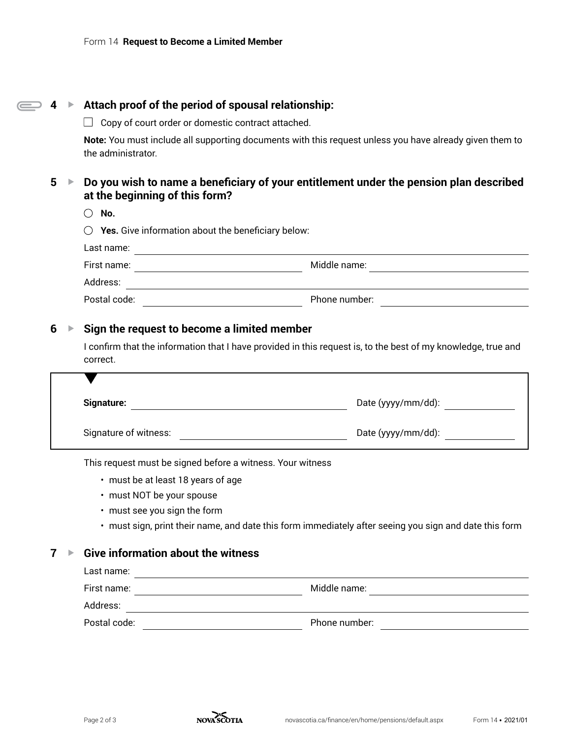$\overline{ }$ 

| 4      | Attach proof of the period of spousal relationship:<br>$\blacktriangleright$ |                                                                                                                                                     |  |
|--------|------------------------------------------------------------------------------|-----------------------------------------------------------------------------------------------------------------------------------------------------|--|
|        |                                                                              | Copy of court order or domestic contract attached.                                                                                                  |  |
|        |                                                                              | <b>Note:</b> You must include all supporting documents with this request unless you have already given them to<br>the administrator.                |  |
| 5<br>▶ |                                                                              | Do you wish to name a beneficiary of your entitlement under the pension plan described<br>at the beginning of this form?                            |  |
|        |                                                                              | No.                                                                                                                                                 |  |
|        |                                                                              | Yes. Give information about the beneficiary below:                                                                                                  |  |
|        |                                                                              | Last name:                                                                                                                                          |  |
|        |                                                                              | Middle name:<br>First name:<br><u> 1980 - Jan Stein Stein Stein Stein Stein Stein Stein Stein Stein Stein Stein Stein Stein Stein Stein Stein S</u> |  |
|        |                                                                              | Address:                                                                                                                                            |  |
|        |                                                                              | Postal code:<br>Phone number:                                                                                                                       |  |
| 6      | ▶                                                                            | Sign the request to become a limited member                                                                                                         |  |
|        |                                                                              | I confirm that the information that I have provided in this request is, to the best of my knowledge, true and<br>correct.                           |  |
|        |                                                                              |                                                                                                                                                     |  |

| <b>Signature:</b>     | Date (yyyy/mm/dd): |
|-----------------------|--------------------|
| Signature of witness: | Date (yyyy/mm/dd): |

This request must be signed before a witness. Your witness

- must be at least 18 years of age
- must NOT be your spouse
- must see you sign the form
- must sign, print their name, and date this form immediately after seeing you sign and date this form

## **7 ▶ Give information about the witness**

| Last name:   |               |
|--------------|---------------|
| First name:  | Middle name:  |
| Address:     |               |
| Postal code: | Phone number: |